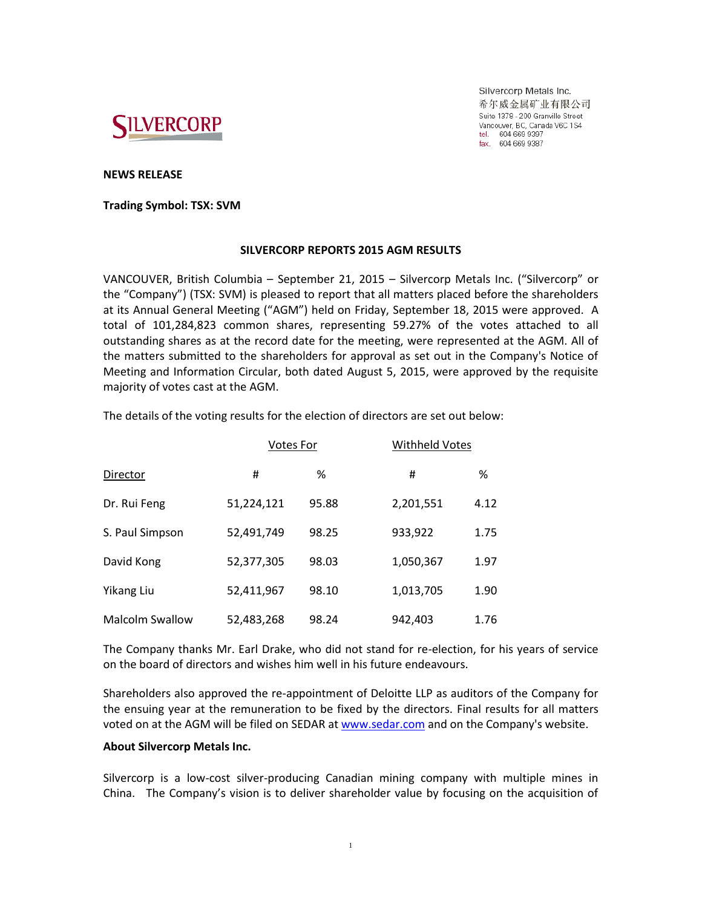

Silvercorp Metals Inc. 希尔威金属矿业有限公司 Suite 1378 - 200 Granville Street Vancouver, BC, Canada V6C 1S4 tel. 604 669 9397<br>fax. 604 669 9397

## **NEWS RELEASE**

**Trading Symbol: TSX: SVM**

## **SILVERCORP REPORTS 2015 AGM RESULTS**

VANCOUVER, British Columbia – September 21, 2015 – Silvercorp Metals Inc. ("Silvercorp" or the "Company") (TSX: SVM) is pleased to report that all matters placed before the shareholders at its Annual General Meeting ("AGM") held on Friday, September 18, 2015 were approved. A total of 101,284,823 common shares, representing 59.27% of the votes attached to all outstanding shares as at the record date for the meeting, were represented at the AGM. All of the matters submitted to the shareholders for approval as set out in the Company's Notice of Meeting and Information Circular, both dated August 5, 2015, were approved by the requisite majority of votes cast at the AGM.

The details of the voting results for the election of directors are set out below:

|                        | <b>Votes For</b> |       | <b>Withheld Votes</b> |      |
|------------------------|------------------|-------|-----------------------|------|
| Director               | #                | %     | #                     | %    |
| Dr. Rui Feng           | 51,224,121       | 95.88 | 2,201,551             | 4.12 |
| S. Paul Simpson        | 52,491,749       | 98.25 | 933,922               | 1.75 |
| David Kong             | 52,377,305       | 98.03 | 1,050,367             | 1.97 |
| Yikang Liu             | 52,411,967       | 98.10 | 1,013,705             | 1.90 |
| <b>Malcolm Swallow</b> | 52,483,268       | 98.24 | 942,403               | 1.76 |

The Company thanks Mr. Earl Drake, who did not stand for re-election, for his years of service on the board of directors and wishes him well in his future endeavours.

Shareholders also approved the re-appointment of Deloitte LLP as auditors of the Company for the ensuing year at the remuneration to be fixed by the directors. Final results for all matters voted on at the AGM will be filed on SEDAR a[t www.sedar.com](http://www.sedar.com/) and on the Company's website.

## **About Silvercorp Metals Inc.**

Silvercorp is a low-cost silver-producing Canadian mining company with multiple mines in China. The Company's vision is to deliver shareholder value by focusing on the acquisition of